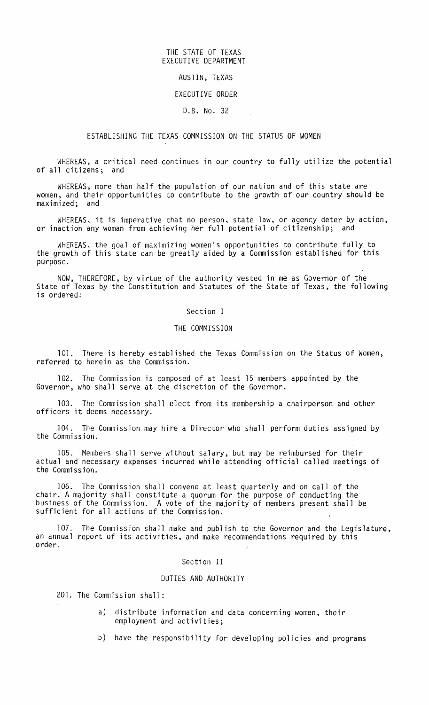### THE STATE OF TEXAS EXECUTIVE DEPARTMENT

# AUSTIN, TEXAS

### EXECUTIVE ORDER

### D.B. No. 32

## ESTABLISHING THE TEXAS COMMISSION ON THE STATUS OF WOMEN

WHEREAS, a critical need continues in our country to fully utilize the potential of all citizens; and

WHEREAS, more than half the population of our nation and of this state are women, and their opportunities to contribute to the growth of our country should be maximized; and

WHEREAS, it is imperative that no person, state law, or agency deter by action, or inaction any woman from achieving her full potential of citizenship; and

WHEREAS, the goal of maximizing women's opportunities to contribute fully to the growth of this state can be greatly aided by a Commission established for this purpose.

NOW, THEREFORE, by virtue of the authority vested in me as Governor of the State of Texas by the Constitution and Statutes of the State of Texas, the following is ordered:

### Section I

### THE COMMISSION

101. There is hereby established the Texas Commission on the Status of Women, referred to herein as the Commission.

102. The Commission is composed of at least 15 members appointed by the Governor, who shall serve at the discretion of the Governor.

103. The Commission shall elect from its membership a chairperson and other officers it deems necessary.

104. The Commission may hire <sup>a</sup> Director who shall perform duties assigned by the Commission.

105. Members shall serve without salary, but may be reimbursed for their actual and necessary expenses incurred while attending official called meetings of the Commission.

106. The Commission shall convene at least quarterly and on call of the chair. A majority shall constitute a quorum for the purpose of conducting the business of the Commission. A vote of the majority of members present shall be sufficient for all actions of the Commission.

107. The Commission shall make and publish to the Governor and the Legislature, an annual report of its activities, and make recommendations required by this order.

### Section II

#### DUTIES AND AUTHORITY

201. The Commission shall:

- a) distribute information and data concerning women, their employment and activities;
- b) have the responsibility for developing policies and programs